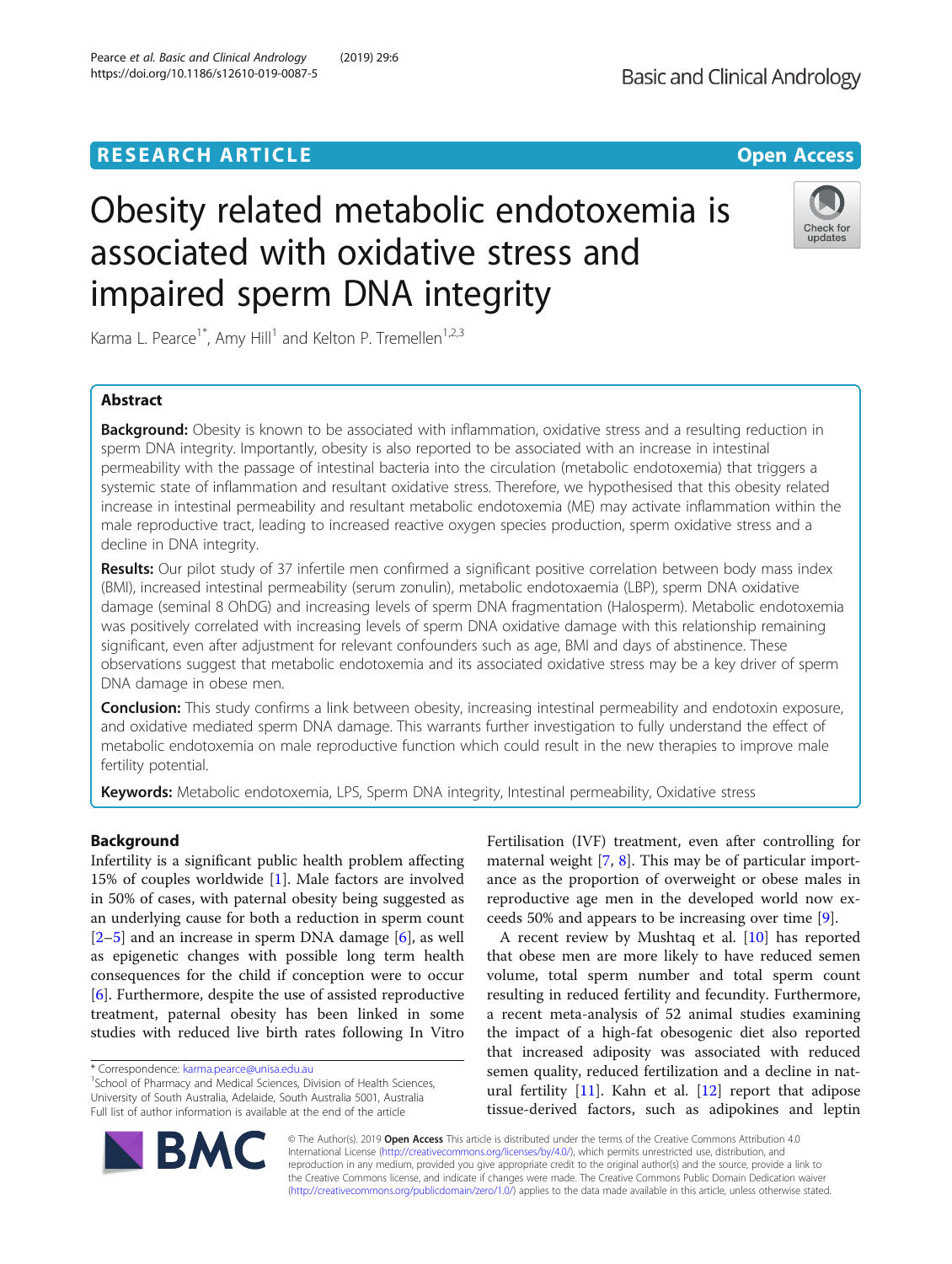# **RESEARCH ARTICLE Example 2014 12:30 The Contract of Contract Contract Contract Contract Contract Contract Contract Contract Contract Contract Contract Contract Contract Contract Contract Contract Contract Contract Contr**

# Obesity related metabolic endotoxemia is associated with oxidative stress and impaired sperm DNA integrity

Karma L. Pearce<sup>1\*</sup>, Amy Hill<sup>1</sup> and Kelton P. Tremellen<sup>1,2,3</sup>

# Abstract

**Background:** Obesity is known to be associated with inflammation, oxidative stress and a resulting reduction in sperm DNA integrity. Importantly, obesity is also reported to be associated with an increase in intestinal permeability with the passage of intestinal bacteria into the circulation (metabolic endotoxemia) that triggers a systemic state of inflammation and resultant oxidative stress. Therefore, we hypothesised that this obesity related increase in intestinal permeability and resultant metabolic endotoxemia (ME) may activate inflammation within the male reproductive tract, leading to increased reactive oxygen species production, sperm oxidative stress and a decline in DNA integrity.

Results: Our pilot study of 37 infertile men confirmed a significant positive correlation between body mass index (BMI), increased intestinal permeability (serum zonulin), metabolic endotoxaemia (LBP), sperm DNA oxidative damage (seminal 8 OhDG) and increasing levels of sperm DNA fragmentation (Halosperm). Metabolic endotoxemia was positively correlated with increasing levels of sperm DNA oxidative damage with this relationship remaining significant, even after adjustment for relevant confounders such as age, BMI and days of abstinence. These observations suggest that metabolic endotoxemia and its associated oxidative stress may be a key driver of sperm DNA damage in obese men.

Conclusion: This study confirms a link between obesity, increasing intestinal permeability and endotoxin exposure, and oxidative mediated sperm DNA damage. This warrants further investigation to fully understand the effect of metabolic endotoxemia on male reproductive function which could result in the new therapies to improve male fertility potential.

Keywords: Metabolic endotoxemia, LPS, Sperm DNA integrity, Intestinal permeability, Oxidative stress

Infertility is a significant public health problem affecting 15% of couples worldwide [[1\]](#page-7-0). Male factors are involved in 50% of cases, with paternal obesity being suggested as an underlying cause for both a reduction in sperm count  $[2-5]$  $[2-5]$  $[2-5]$  $[2-5]$  and an increase in sperm DNA damage  $[6]$  $[6]$ , as well as epigenetic changes with possible long term health consequences for the child if conception were to occur [[6\]](#page-7-0). Furthermore, despite the use of assisted reproductive treatment, paternal obesity has been linked in some studies with reduced live birth rates following In Vitro

**BM** 

Fertilisation (IVF) treatment, even after controlling for maternal weight [\[7,](#page-7-0) [8](#page-7-0)]. This may be of particular importance as the proportion of overweight or obese males in reproductive age men in the developed world now exceeds 50% and appears to be increasing over time [[9](#page-7-0)].

A recent review by Mushtaq et al. [\[10](#page-7-0)] has reported that obese men are more likely to have reduced semen volume, total sperm number and total sperm count resulting in reduced fertility and fecundity. Furthermore, a recent meta-analysis of 52 animal studies examining the impact of a high-fat obesogenic diet also reported that increased adiposity was associated with reduced semen quality, reduced fertilization and a decline in natural fertility  $[11]$  $[11]$ . Kahn et al.  $[12]$  report that adipose tissue-derived factors, such as adipokines and leptin

© The Author(s). 2019 Open Access This article is distributed under the terms of the Creative Commons Attribution 4.0 International License [\(http://creativecommons.org/licenses/by/4.0/](http://creativecommons.org/licenses/by/4.0/)), which permits unrestricted use, distribution, and reproduction in any medium, provided you give appropriate credit to the original author(s) and the source, provide a link to the Creative Commons license, and indicate if changes were made. The Creative Commons Public Domain Dedication waiver [\(http://creativecommons.org/publicdomain/zero/1.0/](http://creativecommons.org/publicdomain/zero/1.0/)) applies to the data made available in this article, unless otherwise stated.







<sup>\*</sup> Correspondence: [karma.pearce@unisa.edu.au](mailto:karma.pearce@unisa.edu.au) <sup>1</sup>

<sup>&</sup>lt;sup>1</sup>School of Pharmacy and Medical Sciences, Division of Health Sciences, University of South Australia, Adelaide, South Australia 5001, Australia Full list of author information is available at the end of the article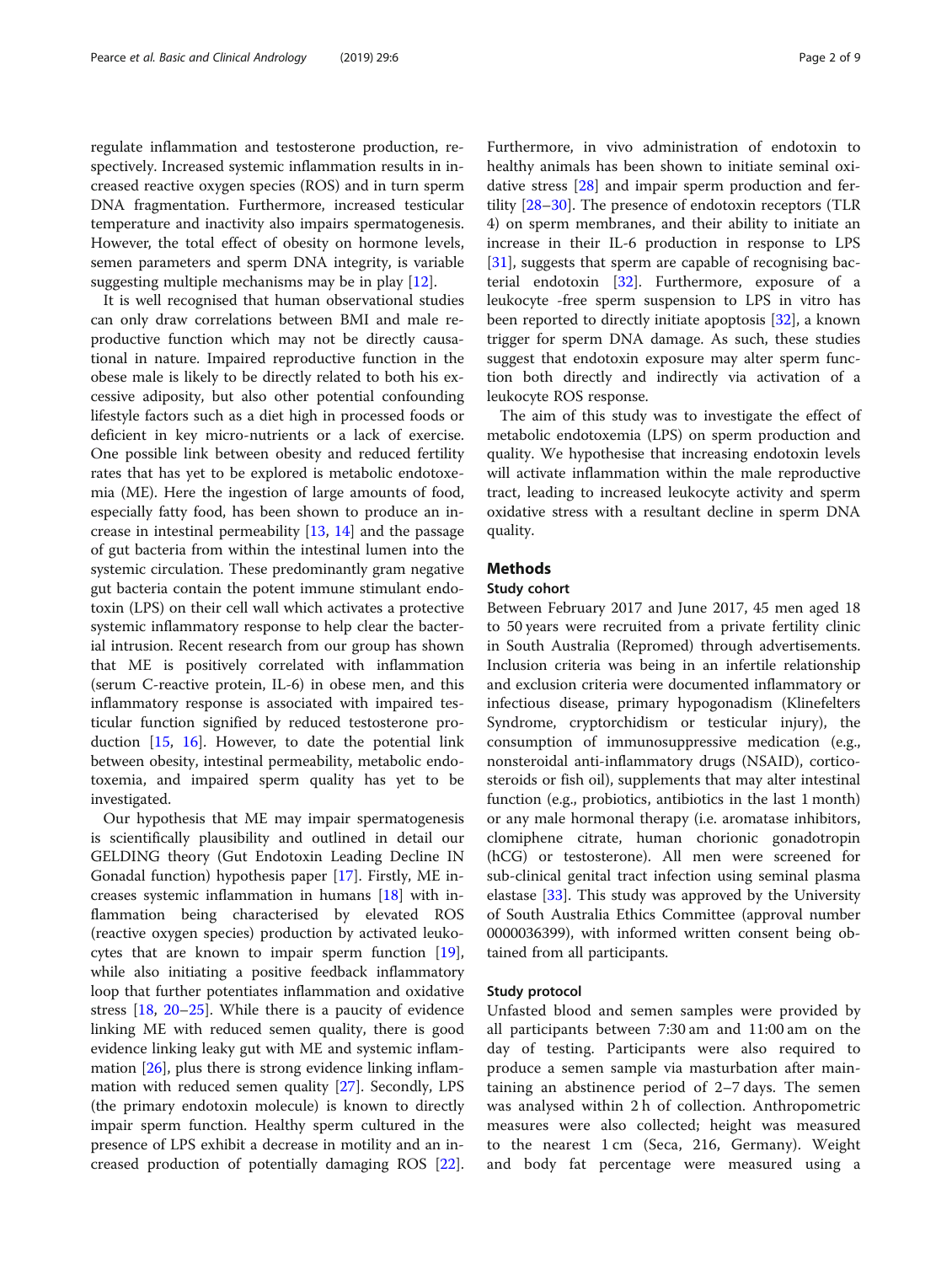regulate inflammation and testosterone production, respectively. Increased systemic inflammation results in increased reactive oxygen species (ROS) and in turn sperm DNA fragmentation. Furthermore, increased testicular temperature and inactivity also impairs spermatogenesis. However, the total effect of obesity on hormone levels, semen parameters and sperm DNA integrity, is variable suggesting multiple mechanisms may be in play [\[12](#page-7-0)].

It is well recognised that human observational studies can only draw correlations between BMI and male reproductive function which may not be directly causational in nature. Impaired reproductive function in the obese male is likely to be directly related to both his excessive adiposity, but also other potential confounding lifestyle factors such as a diet high in processed foods or deficient in key micro-nutrients or a lack of exercise. One possible link between obesity and reduced fertility rates that has yet to be explored is metabolic endotoxemia (ME). Here the ingestion of large amounts of food, especially fatty food, has been shown to produce an increase in intestinal permeability  $[13, 14]$  $[13, 14]$  $[13, 14]$  $[13, 14]$  $[13, 14]$  and the passage of gut bacteria from within the intestinal lumen into the systemic circulation. These predominantly gram negative gut bacteria contain the potent immune stimulant endotoxin (LPS) on their cell wall which activates a protective systemic inflammatory response to help clear the bacterial intrusion. Recent research from our group has shown that ME is positively correlated with inflammation (serum C-reactive protein, IL-6) in obese men, and this inflammatory response is associated with impaired testicular function signified by reduced testosterone production  $[15, 16]$  $[15, 16]$  $[15, 16]$  $[15, 16]$ . However, to date the potential link between obesity, intestinal permeability, metabolic endotoxemia, and impaired sperm quality has yet to be investigated.

Our hypothesis that ME may impair spermatogenesis is scientifically plausibility and outlined in detail our GELDING theory (Gut Endotoxin Leading Decline IN Gonadal function) hypothesis paper [\[17](#page-7-0)]. Firstly, ME increases systemic inflammation in humans [[18\]](#page-7-0) with inflammation being characterised by elevated ROS (reactive oxygen species) production by activated leukocytes that are known to impair sperm function [\[19](#page-7-0)], while also initiating a positive feedback inflammatory loop that further potentiates inflammation and oxidative stress [\[18](#page-7-0), [20](#page-7-0)–[25](#page-7-0)]. While there is a paucity of evidence linking ME with reduced semen quality, there is good evidence linking leaky gut with ME and systemic inflammation [[26](#page-7-0)], plus there is strong evidence linking inflammation with reduced semen quality [[27\]](#page-7-0). Secondly, LPS (the primary endotoxin molecule) is known to directly impair sperm function. Healthy sperm cultured in the presence of LPS exhibit a decrease in motility and an increased production of potentially damaging ROS [\[22](#page-7-0)].

Furthermore, in vivo administration of endotoxin to healthy animals has been shown to initiate seminal oxidative stress [\[28\]](#page-7-0) and impair sperm production and fertility [\[28](#page-7-0)–[30\]](#page-7-0). The presence of endotoxin receptors (TLR 4) on sperm membranes, and their ability to initiate an increase in their IL-6 production in response to LPS [[31\]](#page-7-0), suggests that sperm are capable of recognising bacterial endotoxin [[32](#page-7-0)]. Furthermore, exposure of a leukocyte -free sperm suspension to LPS in vitro has been reported to directly initiate apoptosis [\[32](#page-7-0)], a known trigger for sperm DNA damage. As such, these studies suggest that endotoxin exposure may alter sperm function both directly and indirectly via activation of a leukocyte ROS response.

The aim of this study was to investigate the effect of metabolic endotoxemia (LPS) on sperm production and quality. We hypothesise that increasing endotoxin levels will activate inflammation within the male reproductive tract, leading to increased leukocyte activity and sperm oxidative stress with a resultant decline in sperm DNA quality.

# Methods

# Study cohort

Between February 2017 and June 2017, 45 men aged 18 to 50 years were recruited from a private fertility clinic in South Australia (Repromed) through advertisements. Inclusion criteria was being in an infertile relationship and exclusion criteria were documented inflammatory or infectious disease, primary hypogonadism (Klinefelters Syndrome, cryptorchidism or testicular injury), the consumption of immunosuppressive medication (e.g., nonsteroidal anti-inflammatory drugs (NSAID), corticosteroids or fish oil), supplements that may alter intestinal function (e.g., probiotics, antibiotics in the last 1 month) or any male hormonal therapy (i.e. aromatase inhibitors, clomiphene citrate, human chorionic gonadotropin (hCG) or testosterone). All men were screened for sub-clinical genital tract infection using seminal plasma elastase [\[33](#page-7-0)]. This study was approved by the University of South Australia Ethics Committee (approval number 0000036399), with informed written consent being obtained from all participants.

# Study protocol

Unfasted blood and semen samples were provided by all participants between 7:30 am and 11:00 am on the day of testing. Participants were also required to produce a semen sample via masturbation after maintaining an abstinence period of 2–7 days. The semen was analysed within 2 h of collection. Anthropometric measures were also collected; height was measured to the nearest 1 cm (Seca, 216, Germany). Weight and body fat percentage were measured using a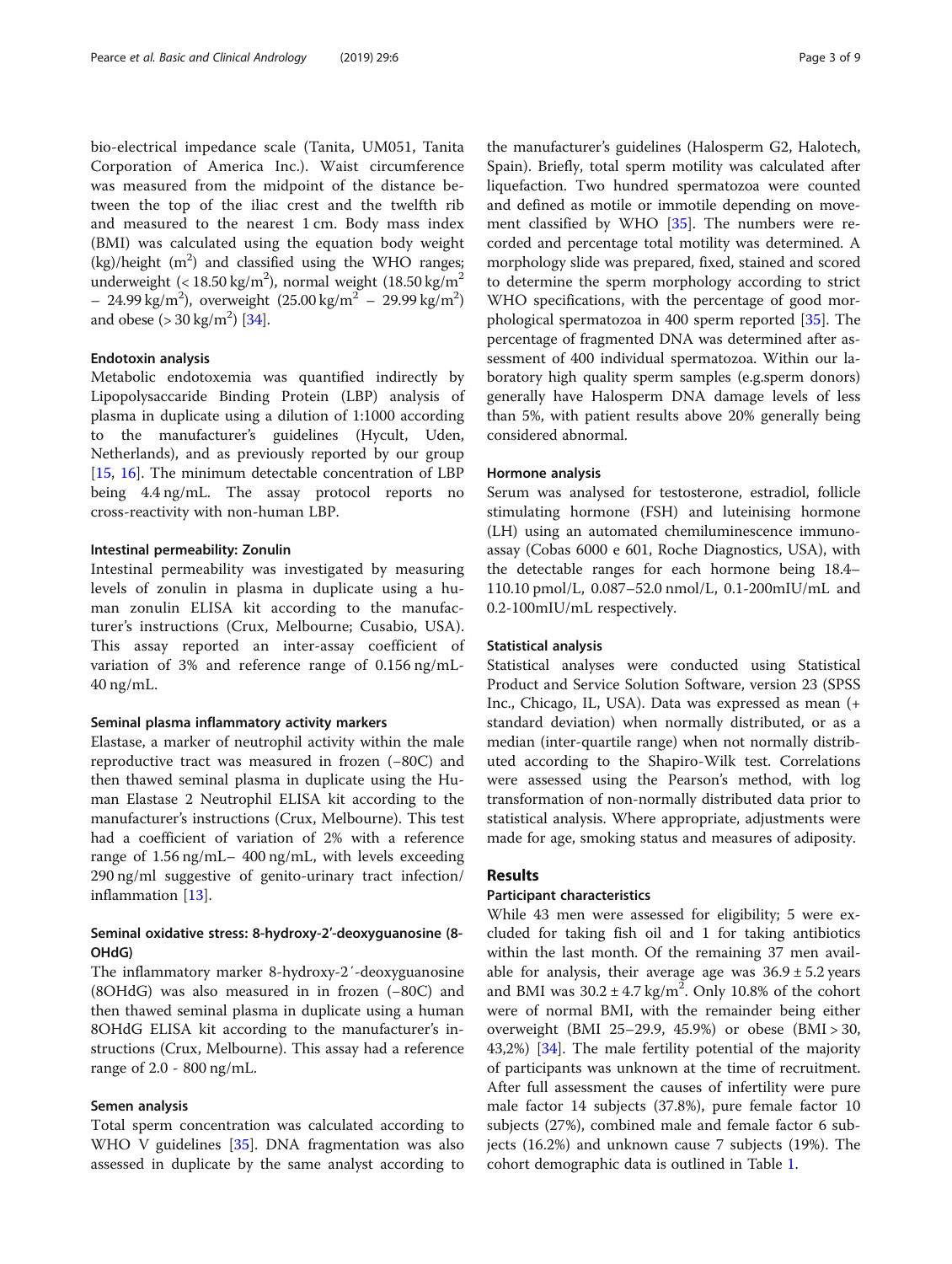bio-electrical impedance scale (Tanita, UM051, Tanita Corporation of America Inc.). Waist circumference was measured from the midpoint of the distance between the top of the iliac crest and the twelfth rib and measured to the nearest 1 cm. Body mass index (BMI) was calculated using the equation body weight  $(kg)/$ height  $(m^2)$  and classified using the WHO ranges; underweight (< 18.50 kg/m<sup>2</sup>), normal weight (18.50 kg/m<sup>2</sup>  $-24.99 \text{ kg/m}^2$ ), overweight  $(25.00 \text{ kg/m}^2 - 29.99 \text{ kg/m}^2)$ and obese  $(>30 \text{ kg/m}^2)$  [\[34\]](#page-7-0).

# Endotoxin analysis

Metabolic endotoxemia was quantified indirectly by Lipopolysaccaride Binding Protein (LBP) analysis of plasma in duplicate using a dilution of 1:1000 according to the manufacturer's guidelines (Hycult, Uden, Netherlands), and as previously reported by our group [[15,](#page-7-0) [16](#page-7-0)]. The minimum detectable concentration of LBP being 4.4 ng/mL. The assay protocol reports no cross-reactivity with non-human LBP.

# Intestinal permeability: Zonulin

Intestinal permeability was investigated by measuring levels of zonulin in plasma in duplicate using a human zonulin ELISA kit according to the manufacturer's instructions (Crux, Melbourne; Cusabio, USA). This assay reported an inter-assay coefficient of variation of 3% and reference range of 0.156 ng/mL-40 ng/mL.

# Seminal plasma inflammatory activity markers

Elastase, a marker of neutrophil activity within the male reproductive tract was measured in frozen (−80C) and then thawed seminal plasma in duplicate using the Human Elastase 2 Neutrophil ELISA kit according to the manufacturer's instructions (Crux, Melbourne). This test had a coefficient of variation of 2% with a reference range of 1.56 ng/mL– 400 ng/mL, with levels exceeding 290 ng/ml suggestive of genito-urinary tract infection/ inflammation [[13](#page-7-0)].

# Seminal oxidative stress: 8-hydroxy-2′-deoxyguanosine (8- OHdG)

The inflammatory marker 8-hydroxy-2′-deoxyguanosine (8OHdG) was also measured in in frozen (−80C) and then thawed seminal plasma in duplicate using a human 8OHdG ELISA kit according to the manufacturer's instructions (Crux, Melbourne). This assay had a reference range of 2.0 - 800 ng/mL.

# Semen analysis

Total sperm concentration was calculated according to WHO V guidelines [\[35](#page-7-0)]. DNA fragmentation was also assessed in duplicate by the same analyst according to

the manufacturer's guidelines (Halosperm G2, Halotech, Spain). Briefly, total sperm motility was calculated after liquefaction. Two hundred spermatozoa were counted and defined as motile or immotile depending on movement classified by WHO [\[35](#page-7-0)]. The numbers were recorded and percentage total motility was determined. A morphology slide was prepared, fixed, stained and scored to determine the sperm morphology according to strict WHO specifications, with the percentage of good morphological spermatozoa in 400 sperm reported [[35\]](#page-7-0). The percentage of fragmented DNA was determined after assessment of 400 individual spermatozoa. Within our laboratory high quality sperm samples (e.g.sperm donors) generally have Halosperm DNA damage levels of less than 5%, with patient results above 20% generally being considered abnormal.

# Hormone analysis

Serum was analysed for testosterone, estradiol, follicle stimulating hormone (FSH) and luteinising hormone (LH) using an automated chemiluminescence immunoassay (Cobas 6000 e 601, Roche Diagnostics, USA), with the detectable ranges for each hormone being 18.4– 110.10 pmol/L, 0.087–52.0 nmol/L, 0.1-200mIU/mL and 0.2-100mIU/mL respectively.

# Statistical analysis

Statistical analyses were conducted using Statistical Product and Service Solution Software, version 23 (SPSS Inc., Chicago, IL, USA). Data was expressed as mean (+ standard deviation) when normally distributed, or as a median (inter-quartile range) when not normally distributed according to the Shapiro-Wilk test. Correlations were assessed using the Pearson's method, with log transformation of non-normally distributed data prior to statistical analysis. Where appropriate, adjustments were made for age, smoking status and measures of adiposity.

# Results

# Participant characteristics

While 43 men were assessed for eligibility; 5 were excluded for taking fish oil and 1 for taking antibiotics within the last month. Of the remaining 37 men available for analysis, their average age was  $36.9 \pm 5.2$  years and BMI was  $30.2 \pm 4.7$  kg/m<sup>2</sup>. Only 10.8% of the cohort were of normal BMI, with the remainder being either overweight (BMI 25–29.9, 45.9%) or obese (BMI > 30, 43,2%) [[34\]](#page-7-0). The male fertility potential of the majority of participants was unknown at the time of recruitment. After full assessment the causes of infertility were pure male factor 14 subjects (37.8%), pure female factor 10 subjects (27%), combined male and female factor 6 subjects (16.2%) and unknown cause 7 subjects (19%). The cohort demographic data is outlined in Table [1.](#page-3-0)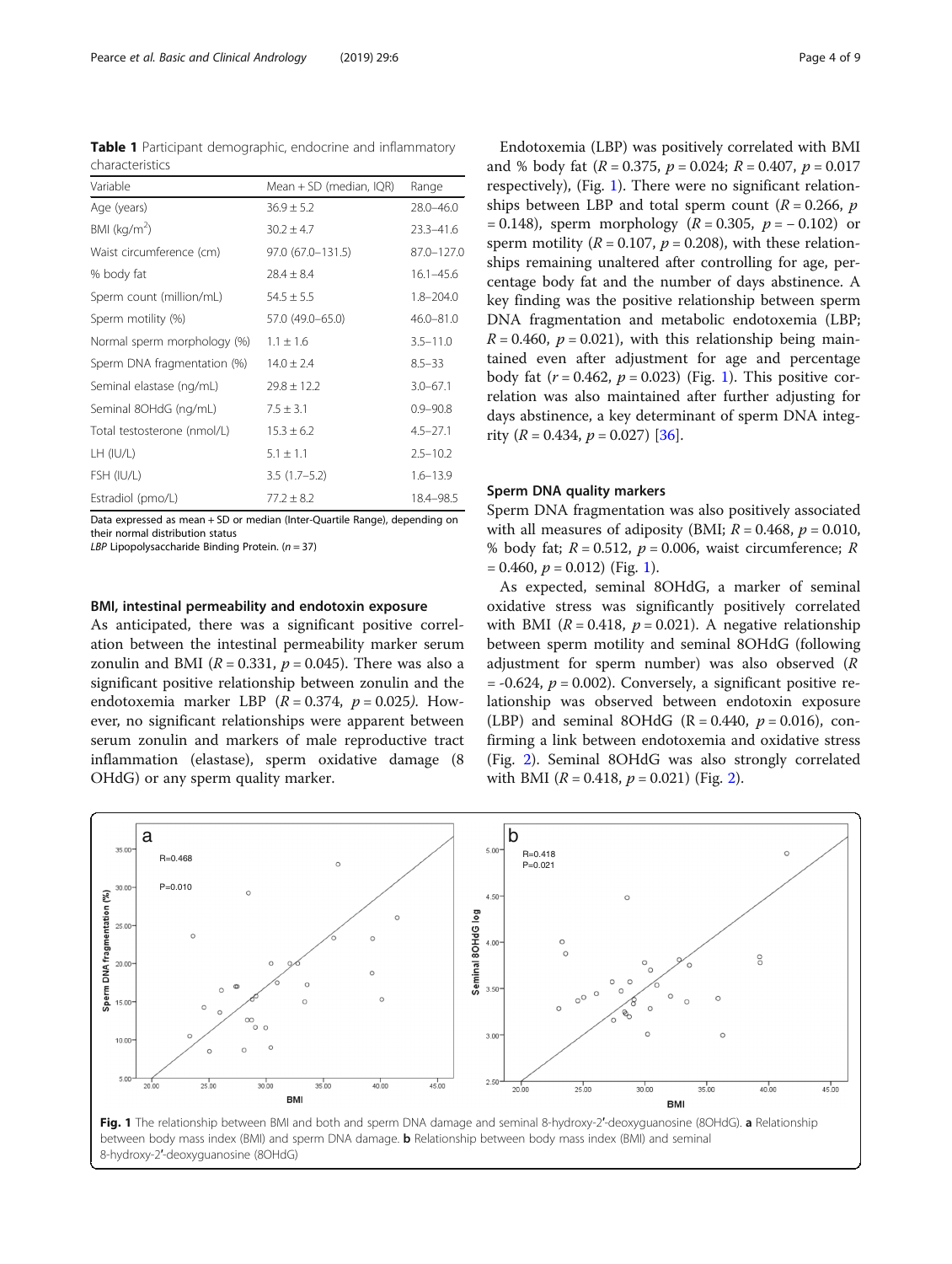<span id="page-3-0"></span>Table 1 Participant demographic, endocrine and inflammatory characteristics

| Variable                    | Mean + SD (median, IQR) | Range         |  |  |
|-----------------------------|-------------------------|---------------|--|--|
| Age (years)                 | $36.9 \pm 5.2$          | 28.0-46.0     |  |  |
| BMI ( $kg/m2$ )             | $30.2 \pm 4.7$          | $23.3 - 41.6$ |  |  |
| Waist circumference (cm)    | 97.0 (67.0-131.5)       | 87.0-127.0    |  |  |
| % body fat                  | $28.4 \pm 8.4$          | $16.1 - 45.6$ |  |  |
| Sperm count (million/mL)    | $54.5 \pm 5.5$          | $1.8 - 204.0$ |  |  |
| Sperm motility (%)          | 57.0 (49.0-65.0)        | $46.0 - 81.0$ |  |  |
| Normal sperm morphology (%) | $1.1 \pm 1.6$           | $3.5 - 11.0$  |  |  |
| Sperm DNA fragmentation (%) | $14.0 \pm 2.4$          | $8.5 - 33$    |  |  |
| Seminal elastase (ng/mL)    | $29.8 \pm 12.2$         | $3.0 - 67.1$  |  |  |
| Seminal 8OHdG (ng/mL)       | $7.5 \pm 3.1$           | $0.9 - 90.8$  |  |  |
| Total testosterone (nmol/L) | $15.3 \pm 6.2$          | $4.5 - 27.1$  |  |  |
| $LH$ (IU/L)                 | $5.1 \pm 1.1$           | $2.5 - 10.2$  |  |  |
| FSH (IU/L)                  | $3.5(1.7-5.2)$          | $1.6 - 13.9$  |  |  |
| Estradiol (pmo/L)           | $77.2 \pm 8.2$          | 18.4-98.5     |  |  |

Data expressed as mean + SD or median (Inter-Quartile Range), depending on their normal distribution status

LBP Lipopolysaccharide Binding Protein.  $(n = 37)$ 

# BMI, intestinal permeability and endotoxin exposure

As anticipated, there was a significant positive correlation between the intestinal permeability marker serum zonulin and BMI ( $R = 0.331$ ,  $p = 0.045$ ). There was also a significant positive relationship between zonulin and the endotoxemia marker LBP  $(R = 0.374, p = 0.025)$ . However, no significant relationships were apparent between serum zonulin and markers of male reproductive tract inflammation (elastase), sperm oxidative damage (8 OHdG) or any sperm quality marker.

Endotoxemia (LBP) was positively correlated with BMI and % body fat  $(R = 0.375, p = 0.024; R = 0.407, p = 0.017$ respectively), (Fig. 1). There were no significant relationships between LBP and total sperm count ( $R = 0.266$ ,  $p$ )  $= 0.148$ ), sperm morphology ( $R = 0.305$ ,  $p = -0.102$ ) or sperm motility ( $R = 0.107$ ,  $p = 0.208$ ), with these relationships remaining unaltered after controlling for age, percentage body fat and the number of days abstinence. A key finding was the positive relationship between sperm DNA fragmentation and metabolic endotoxemia (LBP;  $R = 0.460$ ,  $p = 0.021$ ), with this relationship being maintained even after adjustment for age and percentage body fat  $(r = 0.462, p = 0.023)$  (Fig. 1). This positive correlation was also maintained after further adjusting for days abstinence, a key determinant of sperm DNA integrity ( $R = 0.434$ ,  $p = 0.027$ ) [[36\]](#page-8-0).

# Sperm DNA quality markers

Sperm DNA fragmentation was also positively associated with all measures of adiposity (BMI;  $R = 0.468$ ,  $p = 0.010$ , % body fat;  $R = 0.512$ ,  $p = 0.006$ , waist circumference; R  $= 0.460, p = 0.012$  (Fig. 1).

As expected, seminal 8OHdG, a marker of seminal oxidative stress was significantly positively correlated with BMI ( $R = 0.418$ ,  $p = 0.021$ ). A negative relationship between sperm motility and seminal 8OHdG (following adjustment for sperm number) was also observed (R  $= -0.624$ ,  $p = 0.002$ ). Conversely, a significant positive relationship was observed between endotoxin exposure (LBP) and seminal 8OHdG ( $R = 0.440$ ,  $p = 0.016$ ), confirming a link between endotoxemia and oxidative stress (Fig. [2](#page-4-0)). Seminal 8OHdG was also strongly correlated with BMI  $(R = 0.418, p = 0.021)$  $(R = 0.418, p = 0.021)$  $(R = 0.418, p = 0.021)$  (Fig. 2).



Fig. 1 The relationship between BMI and both and sperm DNA damage and seminal 8-hydroxy-2'-deoxyguanosine (8OHdG). a Relationship between body mass index (BMI) and sperm DNA damage. **b** Relationship between body mass index (BMI) and seminal 8-hydroxy-2′-deoxyguanosine (8OHdG)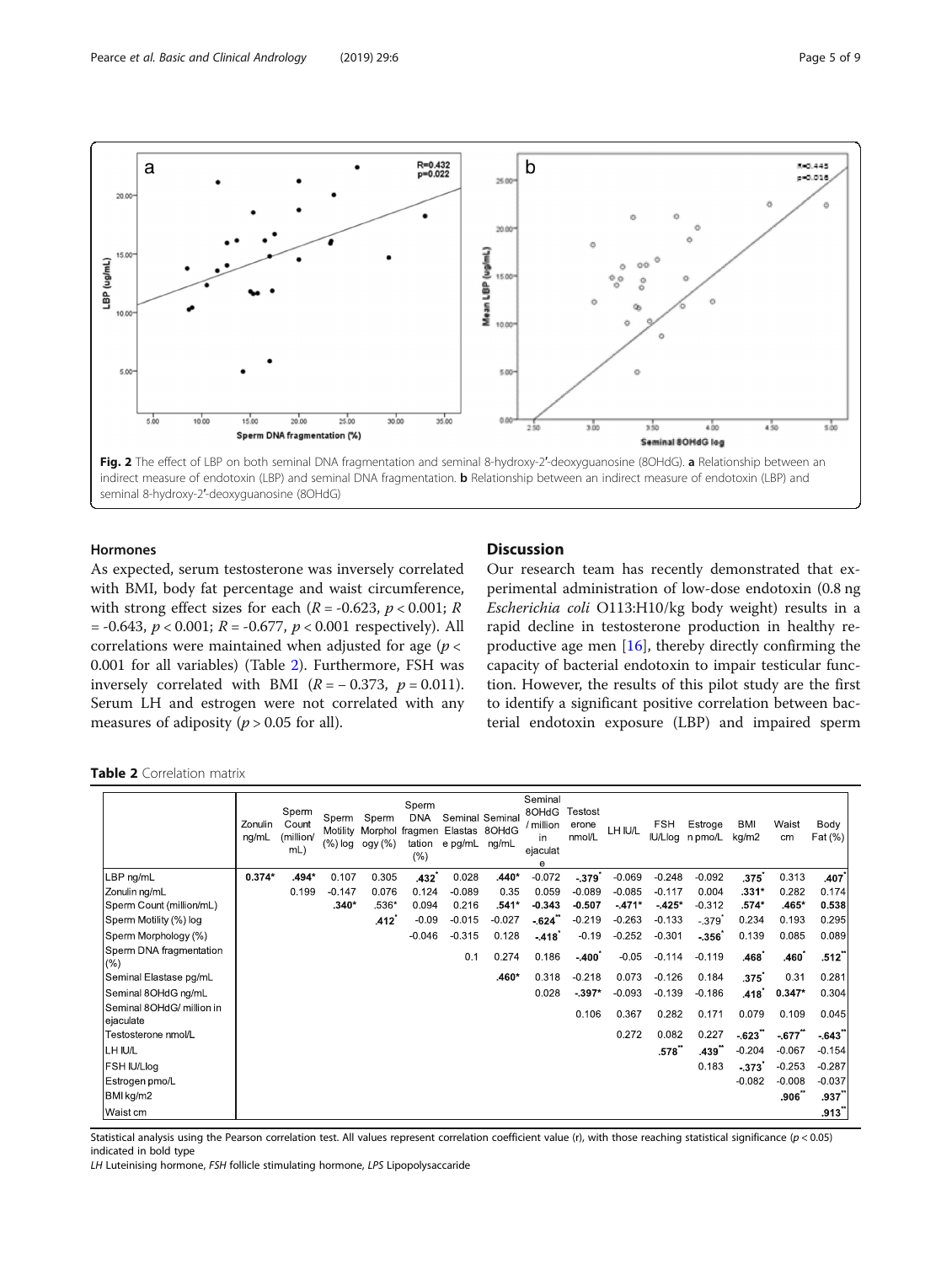<span id="page-4-0"></span>

# Hormones

As expected, serum testosterone was inversely correlated with BMI, body fat percentage and waist circumference, with strong effect sizes for each ( $R = -0.623$ ,  $p < 0.001$ ;  $R$  $= -0.643, p < 0.001; R = -0.677, p < 0.001$  respectively). All correlations were maintained when adjusted for age ( $p <$ 0.001 for all variables) (Table 2). Furthermore, FSH was inversely correlated with BMI  $(R = -0.373, p = 0.011)$ . Serum LH and estrogen were not correlated with any measures of adiposity ( $p > 0.05$  for all).

# **Discussion**

Our research team has recently demonstrated that experimental administration of low-dose endotoxin (0.8 ng Escherichia coli O113:H10/kg body weight) results in a rapid decline in testosterone production in healthy reproductive age men [\[16](#page-7-0)], thereby directly confirming the capacity of bacterial endotoxin to impair testicular function. However, the results of this pilot study are the first to identify a significant positive correlation between bacterial endotoxin exposure (LBP) and impaired sperm

Table 2 Correlation matrix

|                                        | Zonulin<br>ng/mL | Sperm<br>Count<br>(million/<br>mL) | Sperm<br>Motility<br>(%) log | Sperm<br>Morphol<br>ogy (%) | Sperm<br><b>DNA</b><br>fragmen<br>tation<br>(%) | Elastas 8OHdG<br>e pg/mL ng/mL | Seminal Seminal | Seminal<br>8OHdG<br>/ million<br>in<br>ejaculat<br>е | Testost<br>erone<br>nmol/L | LH IU/L  | FSH      | Estroge<br>IU/Llog n pmo/L | BMI<br>kg/m2 | Waist<br>cm | Body<br>$ext{Fat}$ $\binom{9}{0}$ |
|----------------------------------------|------------------|------------------------------------|------------------------------|-----------------------------|-------------------------------------------------|--------------------------------|-----------------|------------------------------------------------------|----------------------------|----------|----------|----------------------------|--------------|-------------|-----------------------------------|
| LBP ng/mL                              | $0.374*$         | .494*                              | 0.107                        | 0.305                       | .432                                            | 0.028                          | $.440*$         | $-0.072$                                             | $-379$                     | $-0.069$ | $-0.248$ | $-0.092$                   | .375         | 0.313       | .407                              |
| Zonulin ng/mL                          |                  | 0.199                              | $-0.147$                     | 0.076                       | 0.124                                           | $-0.089$                       | 0.35            | 0.059                                                | $-0.089$                   | $-0.085$ | $-0.117$ | 0.004                      | $.331*$      | 0.282       | 0.174                             |
| Sperm Count (million/mL)               |                  |                                    | $.340*$                      | $.536*$                     | 0.094                                           | 0.216                          | .541*           | $-0.343$                                             | $-0.507$                   | $-471*$  | $-425*$  | $-0.312$                   | .574*        | .465*       | 0.538                             |
| Sperm Motility (%) log                 |                  |                                    |                              | .412                        | $-0.09$                                         | $-0.015$                       | $-0.027$        | $-624$                                               | $-0.219$                   | $-0.263$ | $-0.133$ | $-.379$                    | 0.234        | 0.193       | 0.295                             |
| Sperm Morphology (%)                   |                  |                                    |                              |                             | $-0.046$                                        | $-0.315$                       | 0.128           | $-418$                                               | $-0.19$                    | $-0.252$ | $-0.301$ | $-356$                     | 0.139        | 0.085       | 0.089                             |
| Sperm DNA fragmentation<br>(% )        |                  |                                    |                              |                             |                                                 | 0.1                            | 0.274           | 0.186                                                | $-400^{\circ}$             | $-0.05$  | $-0.114$ | $-0.119$                   | .468         | .460        | .512                              |
| Seminal Elastase pg/mL                 |                  |                                    |                              |                             |                                                 |                                | .460*           | 0.318                                                | $-0.218$                   | 0.073    | $-0.126$ | 0.184                      | .375゛        | 0.31        | 0.281                             |
| Seminal 8OHdG ng/mL                    |                  |                                    |                              |                             |                                                 |                                |                 | 0.028                                                | $-397*$                    | $-0.093$ | $-0.139$ | $-0.186$                   | .418         | $0.347*$    | 0.304                             |
| Seminal 8OHdG/ million in<br>ejaculate |                  |                                    |                              |                             |                                                 |                                |                 |                                                      | 0.106                      | 0.367    | 0.282    | 0.171                      | 0.079        | 0.109       | 0.045                             |
| Testosterone nmol/L                    |                  |                                    |                              |                             |                                                 |                                |                 |                                                      |                            | 0.272    | 0.082    | 0.227                      | $-623$       | $-677$      | $-643$                            |
| LH IU/L                                |                  |                                    |                              |                             |                                                 |                                |                 |                                                      |                            |          | .578"    | .439                       | $-0.204$     | $-0.067$    | $-0.154$                          |
| FSH IU/Llog                            |                  |                                    |                              |                             |                                                 |                                |                 |                                                      |                            |          |          | 0.183                      | $-373$       | $-0.253$    | $-0.287$                          |
| Estrogen pmo/L                         |                  |                                    |                              |                             |                                                 |                                |                 |                                                      |                            |          |          |                            | $-0.082$     | $-0.008$    | $-0.037$                          |
| BMI kg/m2                              |                  |                                    |                              |                             |                                                 |                                |                 |                                                      |                            |          |          |                            |              | .906        | .937                              |
| Waist cm                               |                  |                                    |                              |                             |                                                 |                                |                 |                                                      |                            |          |          |                            |              |             | $.913^{\circ}$                    |

Statistical analysis using the Pearson correlation test. All values represent correlation coefficient value (r), with those reaching statistical significance ( $p < 0.05$ ) indicated in bold type

LH Luteinising hormone, FSH follicle stimulating hormone, LPS Lipopolysaccaride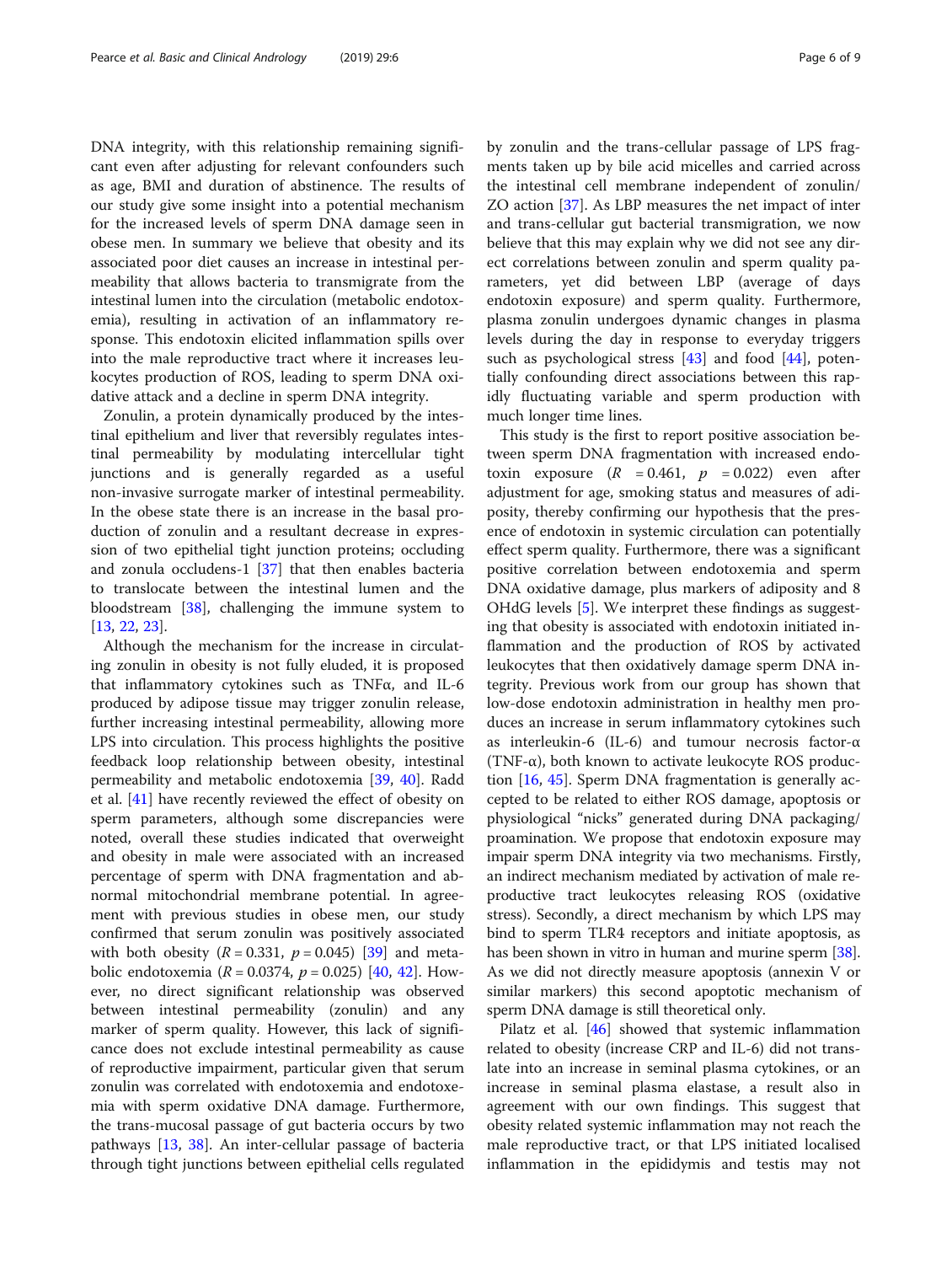DNA integrity, with this relationship remaining significant even after adjusting for relevant confounders such as age, BMI and duration of abstinence. The results of our study give some insight into a potential mechanism for the increased levels of sperm DNA damage seen in obese men. In summary we believe that obesity and its associated poor diet causes an increase in intestinal permeability that allows bacteria to transmigrate from the intestinal lumen into the circulation (metabolic endotoxemia), resulting in activation of an inflammatory response. This endotoxin elicited inflammation spills over into the male reproductive tract where it increases leukocytes production of ROS, leading to sperm DNA oxidative attack and a decline in sperm DNA integrity.

Zonulin, a protein dynamically produced by the intestinal epithelium and liver that reversibly regulates intestinal permeability by modulating intercellular tight junctions and is generally regarded as a useful non-invasive surrogate marker of intestinal permeability. In the obese state there is an increase in the basal production of zonulin and a resultant decrease in expression of two epithelial tight junction proteins; occluding and zonula occludens-1 [[37\]](#page-8-0) that then enables bacteria to translocate between the intestinal lumen and the bloodstream [[38](#page-8-0)], challenging the immune system to [[13,](#page-7-0) [22,](#page-7-0) [23](#page-7-0)].

Although the mechanism for the increase in circulating zonulin in obesity is not fully eluded, it is proposed that inflammatory cytokines such as TNFα, and IL-6 produced by adipose tissue may trigger zonulin release, further increasing intestinal permeability, allowing more LPS into circulation. This process highlights the positive feedback loop relationship between obesity, intestinal permeability and metabolic endotoxemia [\[39](#page-8-0), [40](#page-8-0)]. Radd et al. [[41\]](#page-8-0) have recently reviewed the effect of obesity on sperm parameters, although some discrepancies were noted, overall these studies indicated that overweight and obesity in male were associated with an increased percentage of sperm with DNA fragmentation and abnormal mitochondrial membrane potential. In agreement with previous studies in obese men, our study confirmed that serum zonulin was positively associated with both obesity  $(R = 0.331, p = 0.045)$  [[39\]](#page-8-0) and metabolic endotoxemia ( $R = 0.0374$ ,  $p = 0.025$ ) [\[40](#page-8-0), [42\]](#page-8-0). However, no direct significant relationship was observed between intestinal permeability (zonulin) and any marker of sperm quality. However, this lack of significance does not exclude intestinal permeability as cause of reproductive impairment, particular given that serum zonulin was correlated with endotoxemia and endotoxemia with sperm oxidative DNA damage. Furthermore, the trans-mucosal passage of gut bacteria occurs by two pathways [[13,](#page-7-0) [38\]](#page-8-0). An inter-cellular passage of bacteria through tight junctions between epithelial cells regulated by zonulin and the trans-cellular passage of LPS fragments taken up by bile acid micelles and carried across the intestinal cell membrane independent of zonulin/ ZO action [[37\]](#page-8-0). As LBP measures the net impact of inter and trans-cellular gut bacterial transmigration, we now believe that this may explain why we did not see any direct correlations between zonulin and sperm quality parameters, yet did between LBP (average of days endotoxin exposure) and sperm quality. Furthermore, plasma zonulin undergoes dynamic changes in plasma levels during the day in response to everyday triggers such as psychological stress [[43](#page-8-0)] and food [\[44](#page-8-0)], potentially confounding direct associations between this rapidly fluctuating variable and sperm production with much longer time lines.

This study is the first to report positive association between sperm DNA fragmentation with increased endotoxin exposure  $(R = 0.461, p = 0.022)$  even after adjustment for age, smoking status and measures of adiposity, thereby confirming our hypothesis that the presence of endotoxin in systemic circulation can potentially effect sperm quality. Furthermore, there was a significant positive correlation between endotoxemia and sperm DNA oxidative damage, plus markers of adiposity and 8 OHdG levels [\[5](#page-7-0)]. We interpret these findings as suggesting that obesity is associated with endotoxin initiated inflammation and the production of ROS by activated leukocytes that then oxidatively damage sperm DNA integrity. Previous work from our group has shown that low-dose endotoxin administration in healthy men produces an increase in serum inflammatory cytokines such as interleukin-6 (IL-6) and tumour necrosis factor-α (TNF- $\alpha$ ), both known to activate leukocyte ROS production [[16](#page-7-0), [45\]](#page-8-0). Sperm DNA fragmentation is generally accepted to be related to either ROS damage, apoptosis or physiological "nicks" generated during DNA packaging/ proamination. We propose that endotoxin exposure may impair sperm DNA integrity via two mechanisms. Firstly, an indirect mechanism mediated by activation of male reproductive tract leukocytes releasing ROS (oxidative stress). Secondly, a direct mechanism by which LPS may bind to sperm TLR4 receptors and initiate apoptosis, as has been shown in vitro in human and murine sperm [[38](#page-8-0)]. As we did not directly measure apoptosis (annexin V or similar markers) this second apoptotic mechanism of sperm DNA damage is still theoretical only.

Pilatz et al. [[46\]](#page-8-0) showed that systemic inflammation related to obesity (increase CRP and IL-6) did not translate into an increase in seminal plasma cytokines, or an increase in seminal plasma elastase, a result also in agreement with our own findings. This suggest that obesity related systemic inflammation may not reach the male reproductive tract, or that LPS initiated localised inflammation in the epididymis and testis may not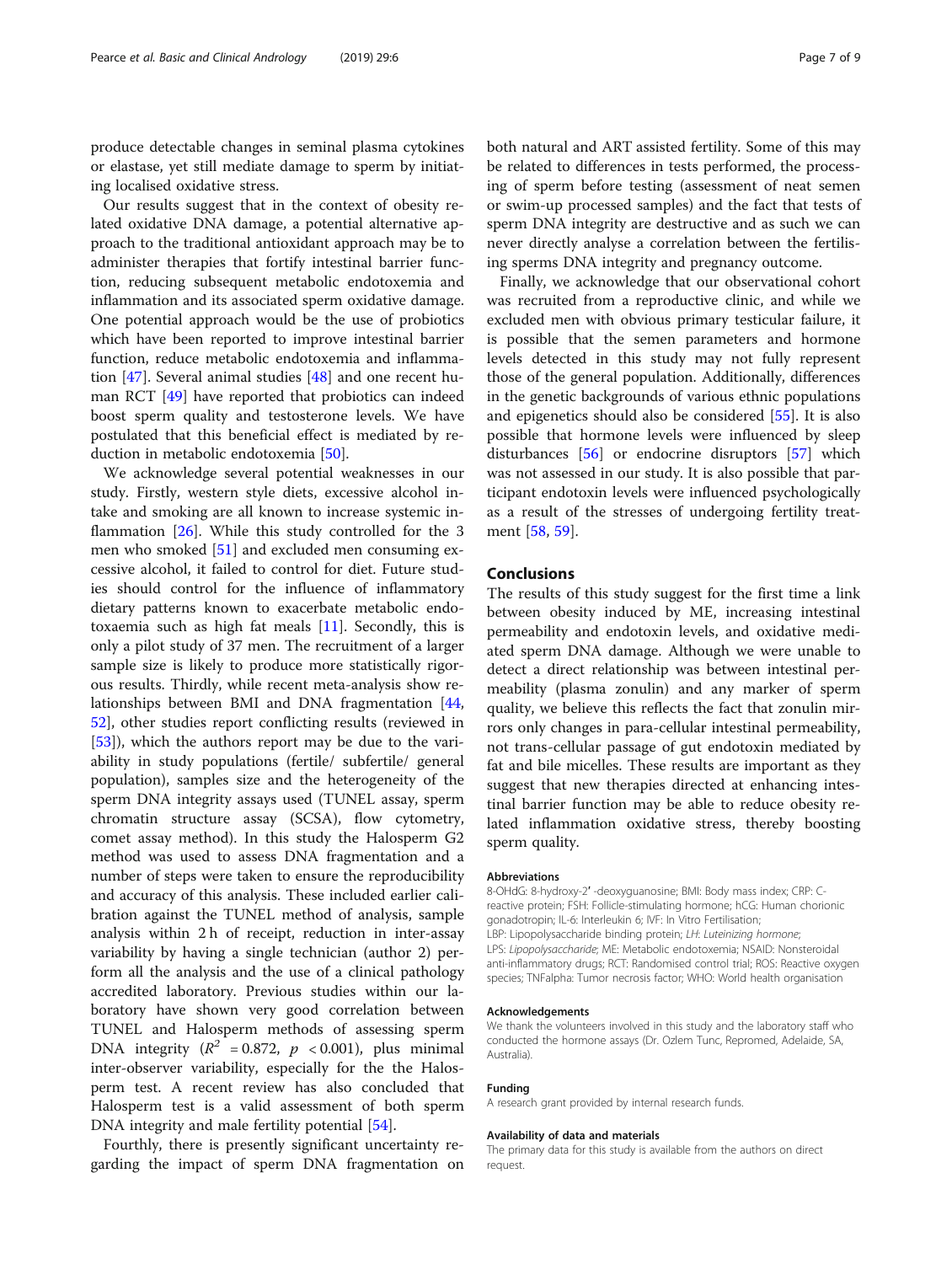produce detectable changes in seminal plasma cytokines or elastase, yet still mediate damage to sperm by initiating localised oxidative stress.

Our results suggest that in the context of obesity related oxidative DNA damage, a potential alternative approach to the traditional antioxidant approach may be to administer therapies that fortify intestinal barrier function, reducing subsequent metabolic endotoxemia and inflammation and its associated sperm oxidative damage. One potential approach would be the use of probiotics which have been reported to improve intestinal barrier function, reduce metabolic endotoxemia and inflammation [\[47](#page-8-0)]. Several animal studies [\[48\]](#page-8-0) and one recent human RCT [\[49](#page-8-0)] have reported that probiotics can indeed boost sperm quality and testosterone levels. We have postulated that this beneficial effect is mediated by reduction in metabolic endotoxemia [\[50](#page-8-0)].

We acknowledge several potential weaknesses in our study. Firstly, western style diets, excessive alcohol intake and smoking are all known to increase systemic inflammation [\[26](#page-7-0)]. While this study controlled for the 3 men who smoked [[51\]](#page-8-0) and excluded men consuming excessive alcohol, it failed to control for diet. Future studies should control for the influence of inflammatory dietary patterns known to exacerbate metabolic endotoxaemia such as high fat meals  $[11]$  $[11]$ . Secondly, this is only a pilot study of 37 men. The recruitment of a larger sample size is likely to produce more statistically rigorous results. Thirdly, while recent meta-analysis show relationships between BMI and DNA fragmentation [[44](#page-8-0), [52\]](#page-8-0), other studies report conflicting results (reviewed in [[53\]](#page-8-0)), which the authors report may be due to the variability in study populations (fertile/ subfertile/ general population), samples size and the heterogeneity of the sperm DNA integrity assays used (TUNEL assay, sperm chromatin structure assay (SCSA), flow cytometry, comet assay method). In this study the Halosperm G2 method was used to assess DNA fragmentation and a number of steps were taken to ensure the reproducibility and accuracy of this analysis. These included earlier calibration against the TUNEL method of analysis, sample analysis within 2 h of receipt, reduction in inter-assay variability by having a single technician (author 2) perform all the analysis and the use of a clinical pathology accredited laboratory. Previous studies within our laboratory have shown very good correlation between TUNEL and Halosperm methods of assessing sperm DNA integrity ( $R^2$  = 0.872,  $p$  < 0.001), plus minimal inter-observer variability, especially for the the Halosperm test. A recent review has also concluded that Halosperm test is a valid assessment of both sperm DNA integrity and male fertility potential [\[54\]](#page-8-0).

Fourthly, there is presently significant uncertainty regarding the impact of sperm DNA fragmentation on

both natural and ART assisted fertility. Some of this may be related to differences in tests performed, the processing of sperm before testing (assessment of neat semen or swim-up processed samples) and the fact that tests of sperm DNA integrity are destructive and as such we can never directly analyse a correlation between the fertilising sperms DNA integrity and pregnancy outcome.

Finally, we acknowledge that our observational cohort was recruited from a reproductive clinic, and while we excluded men with obvious primary testicular failure, it is possible that the semen parameters and hormone levels detected in this study may not fully represent those of the general population. Additionally, differences in the genetic backgrounds of various ethnic populations and epigenetics should also be considered [[55\]](#page-8-0). It is also possible that hormone levels were influenced by sleep disturbances [[56\]](#page-8-0) or endocrine disruptors [\[57](#page-8-0)] which was not assessed in our study. It is also possible that participant endotoxin levels were influenced psychologically as a result of the stresses of undergoing fertility treatment [[58,](#page-8-0) [59\]](#page-8-0).

# Conclusions

The results of this study suggest for the first time a link between obesity induced by ME, increasing intestinal permeability and endotoxin levels, and oxidative mediated sperm DNA damage. Although we were unable to detect a direct relationship was between intestinal permeability (plasma zonulin) and any marker of sperm quality, we believe this reflects the fact that zonulin mirrors only changes in para-cellular intestinal permeability, not trans-cellular passage of gut endotoxin mediated by fat and bile micelles. These results are important as they suggest that new therapies directed at enhancing intestinal barrier function may be able to reduce obesity related inflammation oxidative stress, thereby boosting sperm quality.

# Abbreviations

8-OHdG: 8-hydroxy-2′ -deoxyguanosine; BMI: Body mass index; CRP: Creactive protein; FSH: Follicle-stimulating hormone; hCG: Human chorionic gonadotropin; IL-6: Interleukin 6; IVF: In Vitro Fertilisation; LBP: Lipopolysaccharide binding protein; LH: Luteinizing hormone; LPS: Lipopolysaccharide; ME: Metabolic endotoxemia; NSAID: Nonsteroidal anti-inflammatory drugs; RCT: Randomised control trial; ROS: Reactive oxygen species; TNFalpha: Tumor necrosis factor; WHO: World health organisation

#### Acknowledgements

We thank the volunteers involved in this study and the laboratory staff who conducted the hormone assays (Dr. Ozlem Tunc, Repromed, Adelaide, SA, Australia).

#### Funding

A research grant provided by internal research funds.

### Availability of data and materials

The primary data for this study is available from the authors on direct request.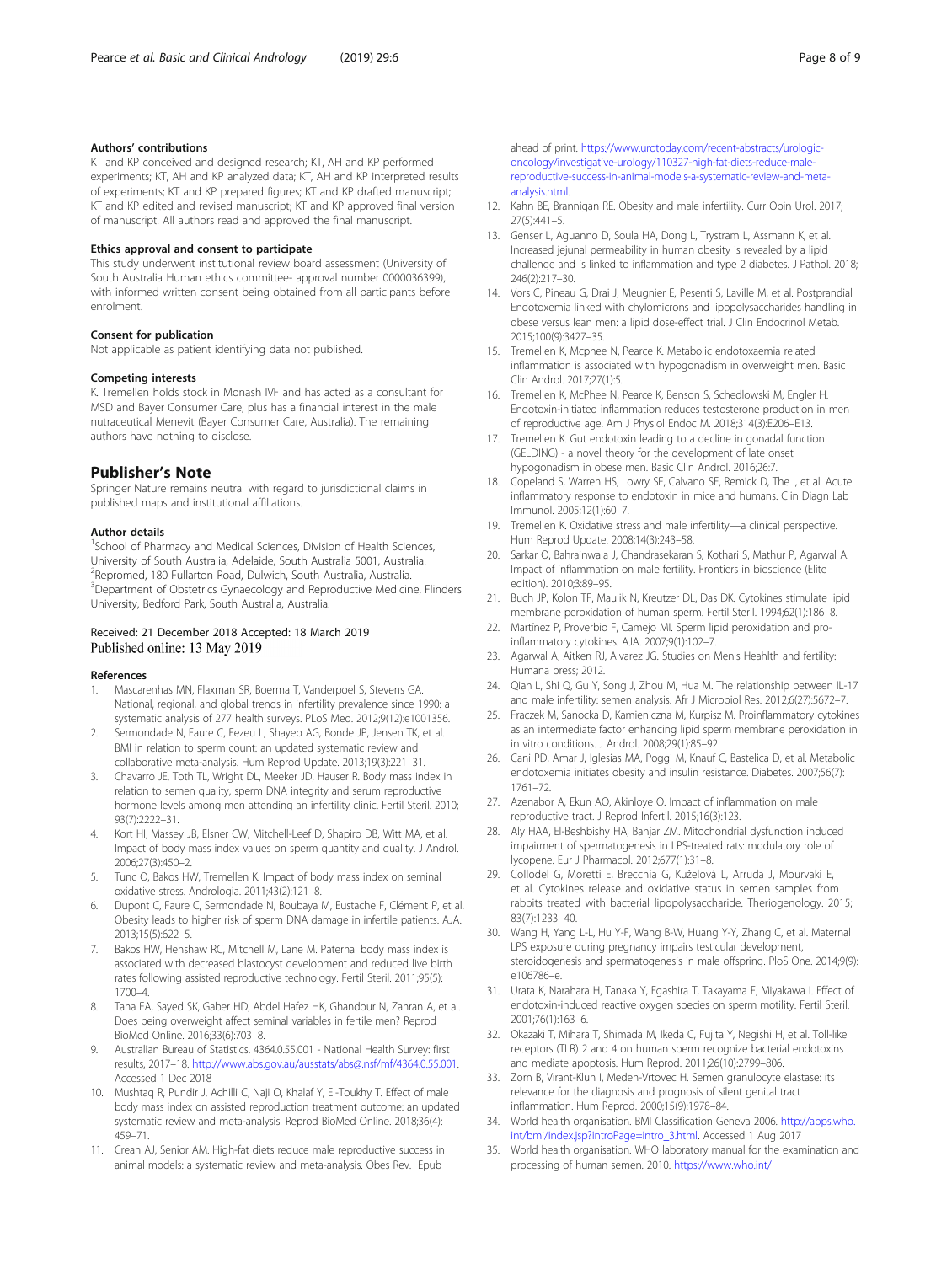# <span id="page-7-0"></span>Authors' contributions

KT and KP conceived and designed research; KT, AH and KP performed experiments; KT, AH and KP analyzed data; KT, AH and KP interpreted results of experiments; KT and KP prepared figures; KT and KP drafted manuscript; KT and KP edited and revised manuscript; KT and KP approved final version of manuscript. All authors read and approved the final manuscript.

# Ethics approval and consent to participate

This study underwent institutional review board assessment (University of South Australia Human ethics committee- approval number 0000036399), with informed written consent being obtained from all participants before enrolment.

# Consent for publication

Not applicable as patient identifying data not published.

# Competing interests

K. Tremellen holds stock in Monash IVF and has acted as a consultant for MSD and Bayer Consumer Care, plus has a financial interest in the male nutraceutical Menevit (Bayer Consumer Care, Australia). The remaining authors have nothing to disclose.

# Publisher's Note

Springer Nature remains neutral with regard to jurisdictional claims in published maps and institutional affiliations.

## Author details

<sup>1</sup>School of Pharmacy and Medical Sciences, Division of Health Sciences, University of South Australia, Adelaide, South Australia 5001, Australia. 2 Repromed, 180 Fullarton Road, Dulwich, South Australia, Australia. <sup>3</sup>Department of Obstetrics Gynaecology and Reproductive Medicine, Flinders University, Bedford Park, South Australia, Australia.

# Received: 21 December 2018 Accepted: 18 March 2019 Published online: 13 May 2019

# References

- Mascarenhas MN, Flaxman SR, Boerma T, Vanderpoel S, Stevens GA. National, regional, and global trends in infertility prevalence since 1990: a systematic analysis of 277 health surveys. PLoS Med. 2012;9(12):e1001356.
- Sermondade N, Faure C, Fezeu L, Shayeb AG, Bonde JP, Jensen TK, et al. BMI in relation to sperm count: an updated systematic review and collaborative meta-analysis. Hum Reprod Update. 2013;19(3):221–31.
- 3. Chavarro JE, Toth TL, Wright DL, Meeker JD, Hauser R. Body mass index in relation to semen quality, sperm DNA integrity and serum reproductive hormone levels among men attending an infertility clinic. Fertil Steril. 2010;  $93(7) \cdot 2222 - 31$
- 4. Kort HI, Massey JB, Elsner CW, Mitchell-Leef D, Shapiro DB, Witt MA, et al. Impact of body mass index values on sperm quantity and quality. J Androl. 2006;27(3):450–2.
- 5. Tunc O, Bakos HW, Tremellen K. Impact of body mass index on seminal oxidative stress. Andrologia. 2011;43(2):121–8.
- 6. Dupont C, Faure C, Sermondade N, Boubaya M, Eustache F, Clément P, et al. Obesity leads to higher risk of sperm DNA damage in infertile patients. AJA. 2013;15(5):622–5.
- 7. Bakos HW, Henshaw RC, Mitchell M, Lane M. Paternal body mass index is associated with decreased blastocyst development and reduced live birth rates following assisted reproductive technology. Fertil Steril. 2011;95(5): 1700–4.
- Taha EA, Sayed SK, Gaber HD, Abdel Hafez HK, Ghandour N, Zahran A, et al. Does being overweight affect seminal variables in fertile men? Reprod BioMed Online. 2016;33(6):703–8.
- 9. Australian Bureau of Statistics. 4364.0.55.001 National Health Survey: first results, 2017–18. <http://www.abs.gov.au/ausstats/abs@.nsf/mf/4364.0.55.001>. Accessed 1 Dec 2018
- 10. Mushtaq R, Pundir J, Achilli C, Naji O, Khalaf Y, El-Toukhy T. Effect of male body mass index on assisted reproduction treatment outcome: an updated systematic review and meta-analysis. Reprod BioMed Online. 2018;36(4): 459–71.
- 11. Crean AJ, Senior AM. High-fat diets reduce male reproductive success in animal models: a systematic review and meta-analysis. Obes Rev. Epub

ahead of print. [https://www.urotoday.com/recent-abstracts/urologic](https://www.urotoday.com/recent-abstracts/urologic-oncology/investigative-urology/110327-high-fat-diets-reduce-male-reproductive-success-in-animal-models-a-systematic-review-and-meta-analysis.html)[oncology/investigative-urology/110327-high-fat-diets-reduce-male](https://www.urotoday.com/recent-abstracts/urologic-oncology/investigative-urology/110327-high-fat-diets-reduce-male-reproductive-success-in-animal-models-a-systematic-review-and-meta-analysis.html)[reproductive-success-in-animal-models-a-systematic-review-and-meta](https://www.urotoday.com/recent-abstracts/urologic-oncology/investigative-urology/110327-high-fat-diets-reduce-male-reproductive-success-in-animal-models-a-systematic-review-and-meta-analysis.html)[analysis.html.](https://www.urotoday.com/recent-abstracts/urologic-oncology/investigative-urology/110327-high-fat-diets-reduce-male-reproductive-success-in-animal-models-a-systematic-review-and-meta-analysis.html)

- 12. Kahn BE, Brannigan RE. Obesity and male infertility. Curr Opin Urol. 2017; 27(5):441–5.
- 13. Genser L, Aguanno D, Soula HA, Dong L, Trystram L, Assmann K, et al. Increased jejunal permeability in human obesity is revealed by a lipid challenge and is linked to inflammation and type 2 diabetes. J Pathol. 2018; 246(2):217–30.
- 14. Vors C, Pineau G, Drai J, Meugnier E, Pesenti S, Laville M, et al. Postprandial Endotoxemia linked with chylomicrons and lipopolysaccharides handling in obese versus lean men: a lipid dose-effect trial. J Clin Endocrinol Metab. 2015;100(9):3427–35.
- 15. Tremellen K, Mcphee N, Pearce K. Metabolic endotoxaemia related inflammation is associated with hypogonadism in overweight men. Basic Clin Androl. 2017;27(1):5.
- 16. Tremellen K, McPhee N, Pearce K, Benson S, Schedlowski M, Engler H. Endotoxin-initiated inflammation reduces testosterone production in men of reproductive age. Am J Physiol Endoc M. 2018;314(3):E206–E13.
- Tremellen K. Gut endotoxin leading to a decline in gonadal function (GELDING) - a novel theory for the development of late onset hypogonadism in obese men. Basic Clin Androl. 2016;26:7.
- 18. Copeland S, Warren HS, Lowry SF, Calvano SE, Remick D, The I, et al. Acute inflammatory response to endotoxin in mice and humans. Clin Diagn Lab Immunol. 2005;12(1):60–7.
- 19. Tremellen K. Oxidative stress and male infertility—a clinical perspective. Hum Reprod Update. 2008;14(3):243–58.
- 20. Sarkar O, Bahrainwala J, Chandrasekaran S, Kothari S, Mathur P, Agarwal A. Impact of inflammation on male fertility. Frontiers in bioscience (Elite edition). 2010;3:89–95.
- 21. Buch JP, Kolon TF, Maulik N, Kreutzer DL, Das DK. Cytokines stimulate lipid membrane peroxidation of human sperm. Fertil Steril. 1994;62(1):186–8.
- 22. Martínez P, Proverbio F, Camejo MI. Sperm lipid peroxidation and proinflammatory cytokines. AJA. 2007;9(1):102–7.
- 23. Agarwal A, Aitken RJ, Alvarez JG. Studies on Men's Heahlth and fertility: Humana press; 2012.
- 24. Qian L, Shi Q, Gu Y, Song J, Zhou M, Hua M. The relationship between IL-17 and male infertility: semen analysis. Afr J Microbiol Res. 2012;6(27):5672–7.
- 25. Fraczek M, Sanocka D, Kamieniczna M, Kurpisz M. Proinflammatory cytokines as an intermediate factor enhancing lipid sperm membrane peroxidation in in vitro conditions. J Androl. 2008;29(1):85–92.
- 26. Cani PD, Amar J, Iglesias MA, Poggi M, Knauf C, Bastelica D, et al. Metabolic endotoxemia initiates obesity and insulin resistance. Diabetes. 2007;56(7): 1761–72.
- 27. Azenabor A, Ekun AO, Akinloye O. Impact of inflammation on male reproductive tract. J Reprod Infertil. 2015;16(3):123.
- 28. Aly HAA, El-Beshbishy HA, Banjar ZM. Mitochondrial dysfunction induced impairment of spermatogenesis in LPS-treated rats: modulatory role of lycopene. Eur J Pharmacol. 2012;677(1):31–8.
- 29. Collodel G, Moretti E, Brecchia G, Kuželová L, Arruda J, Mourvaki E, et al. Cytokines release and oxidative status in semen samples from rabbits treated with bacterial lipopolysaccharide. Theriogenology. 2015; 83(7):1233–40.
- 30. Wang H, Yang L-L, Hu Y-F, Wang B-W, Huang Y-Y, Zhang C, et al. Maternal LPS exposure during pregnancy impairs testicular development, steroidogenesis and spermatogenesis in male offspring. PloS One. 2014;9(9): e106786–e.
- 31. Urata K, Narahara H, Tanaka Y, Egashira T, Takayama F, Miyakawa I. Effect of endotoxin-induced reactive oxygen species on sperm motility. Fertil Steril. 2001;76(1):163–6.
- 32. Okazaki T, Mihara T, Shimada M, Ikeda C, Fujita Y, Negishi H, et al. Toll-like receptors (TLR) 2 and 4 on human sperm recognize bacterial endotoxins and mediate apoptosis. Hum Reprod. 2011;26(10):2799–806.
- 33. Zorn B, Virant-Klun I, Meden-Vrtovec H. Semen granulocyte elastase: its relevance for the diagnosis and prognosis of silent genital tract inflammation. Hum Reprod. 2000;15(9):1978–84.
- 34. World health organisation. BMI Classification Geneva 2006. [http://apps.who.](http://apps.who.int/bmi/index.jsp?introPage=intro_3.html) [int/bmi/index.jsp?introPage=intro\\_3.html.](http://apps.who.int/bmi/index.jsp?introPage=intro_3.html) Accessed 1 Aug 2017
- 35. World health organisation. WHO laboratory manual for the examination and processing of human semen. 2010. [https://www.who.int/](https://www.who.int/reproductivehealth/publications/infertility/9789241547789/en/)